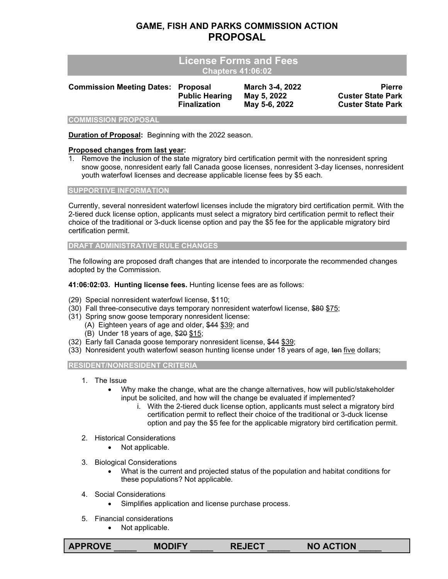# **GAME, FISH AND PARKS COMMISSION ACTION PROPOSAL**

| <b>License Forms and Fees</b><br><b>Chapters 41:06:02</b> |                                                                 |                                                 |                                                                       |  |  |
|-----------------------------------------------------------|-----------------------------------------------------------------|-------------------------------------------------|-----------------------------------------------------------------------|--|--|
| <b>Commission Meeting Dates:</b>                          | <b>Proposal</b><br><b>Public Hearing</b><br><b>Finalization</b> | March 3-4, 2022<br>May 5, 2022<br>May 5-6, 2022 | <b>Pierre</b><br><b>Custer State Park</b><br><b>Custer State Park</b> |  |  |
| <b>COMMISSION PROPOSAL</b>                                |                                                                 |                                                 |                                                                       |  |  |

**Duration of Proposal:** Beginning with the 2022 season.

## **Proposed changes from last year:**

1. Remove the inclusion of the state migratory bird certification permit with the nonresident spring snow goose, nonresident early fall Canada goose licenses, nonresident 3-day licenses, nonresident youth waterfowl licenses and decrease applicable license fees by \$5 each.

#### **SUPPORTIVE INFORMATION**

Currently, several nonresident waterfowl licenses include the migratory bird certification permit. With the 2-tiered duck license option, applicants must select a migratory bird certification permit to reflect their choice of the traditional or 3-duck license option and pay the \$5 fee for the applicable migratory bird certification permit.

#### **DRAFT ADMINISTRATIVE RULE CHANGES**

The following are proposed draft changes that are intended to incorporate the recommended changes adopted by the Commission.

**41:06:02:03. Hunting license fees.** Hunting license fees are as follows:

- (29) Special nonresident waterfowl license, \$110;
- (30) Fall three-consecutive days temporary nonresident waterfowl license, \$80 \$75;
- (31) Spring snow goose temporary nonresident license:
	- (A) Eighteen years of age and older, \$44 \$39; and
	- (B) Under 18 years of age, \$20 \$15;
- (32) Early fall Canada goose temporary nonresident license, \$44 \$39;
- (33) Nonresident youth waterfowl season hunting license under 18 years of age, ten five dollars;

## **RESIDENT/NONRESIDENT CRITERIA**

- 1. The Issue
	- Why make the change, what are the change alternatives, how will public/stakeholder input be solicited, and how will the change be evaluated if implemented?
		- i. With the 2-tiered duck license option, applicants must select a migratory bird certification permit to reflect their choice of the traditional or 3-duck license option and pay the \$5 fee for the applicable migratory bird certification permit.
- 2. Historical Considerations
	- Not applicable.
- 3. Biological Considerations
	- What is the current and projected status of the population and habitat conditions for these populations? Not applicable.
- 4. Social Considerations
	- Simplifies application and license purchase process.
- 5. Financial considerations
	- Not applicable.